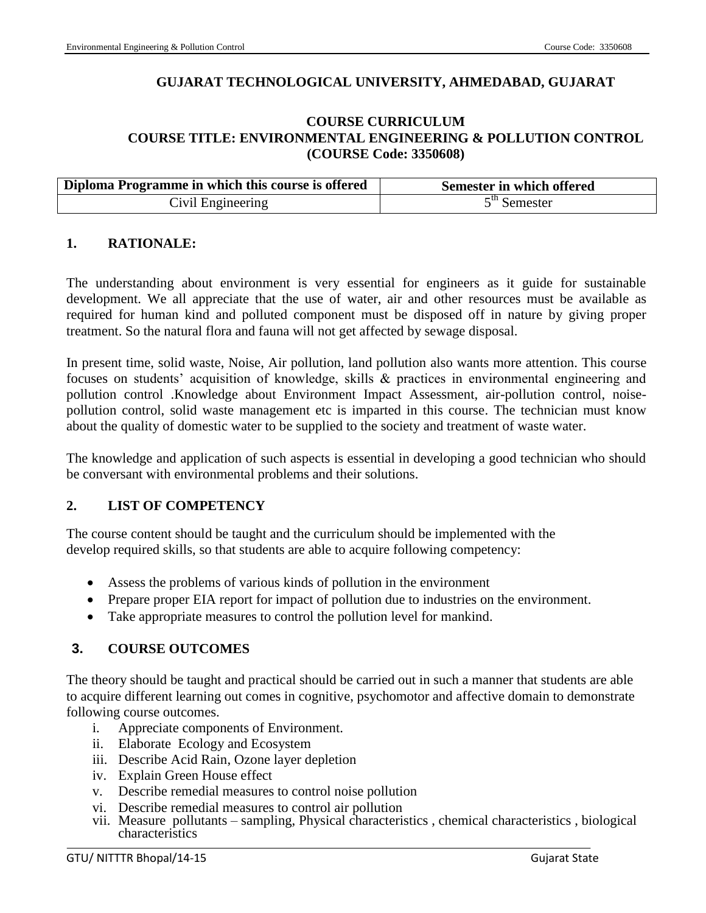## **GUJARAT TECHNOLOGICAL UNIVERSITY, AHMEDABAD, GUJARAT**

## **COURSE CURRICULUM COURSE TITLE: ENVIRONMENTAL ENGINEERING & POLLUTION CONTROL (COURSE Code: 3350608)**

| Diploma Programme in which this course is offered | Semester in which offered |  |
|---------------------------------------------------|---------------------------|--|
| Civil Engineering                                 | 5 <sup>th</sup> Semester  |  |

### **1. RATIONALE:**

The understanding about environment is very essential for engineers as it guide for sustainable development. We all appreciate that the use of water, air and other resources must be available as required for human kind and polluted component must be disposed off in nature by giving proper treatment. So the natural flora and fauna will not get affected by sewage disposal.

In present time, solid waste, Noise, Air pollution, land pollution also wants more attention. This course focuses on students' acquisition of knowledge, skills & practices in environmental engineering and pollution control .Knowledge about Environment Impact Assessment, air-pollution control, noisepollution control, solid waste management etc is imparted in this course. The technician must know about the quality of domestic water to be supplied to the society and treatment of waste water.

The knowledge and application of such aspects is essential in developing a good technician who should be conversant with environmental problems and their solutions.

### **2. LIST OF COMPETENCY**

The course content should be taught and the curriculum should be implemented with the develop required skills, so that students are able to acquire following competency:

- Assess the problems of various kinds of pollution in the environment
- Prepare proper EIA report for impact of pollution due to industries on the environment.
- Take appropriate measures to control the pollution level for mankind.

### **3. COURSE OUTCOMES**

The theory should be taught and practical should be carried out in such a manner that students are able to acquire different learning out comes in cognitive, psychomotor and affective domain to demonstrate following course outcomes.

- i. Appreciate components of Environment.
- ii. Elaborate Ecology and Ecosystem
- iii. Describe Acid Rain, Ozone layer depletion
- iv. Explain Green House effect
- v. Describe remedial measures to control noise pollution
- vi. Describe remedial measures to control air pollution
- vii. Measure pollutants sampling, Physical characteristics , chemical characteristics , biological characteristics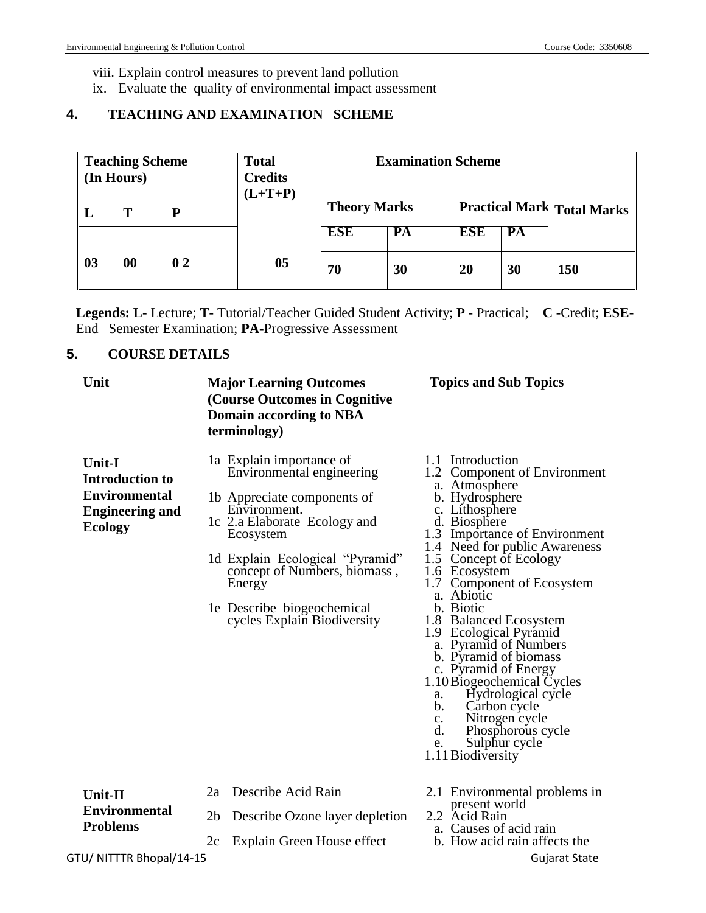viii. Explain control measures to prevent land pollution

ix. Evaluate the quality of environmental impact assessment

# **4. TEACHING AND EXAMINATION SCHEME**

|    | <b>Teaching Scheme</b><br>(In Hours) |    | <b>Total</b><br><b>Credits</b><br>$(L+T+P)$ | <b>Examination Scheme</b>                                |                 |            |    |     |
|----|--------------------------------------|----|---------------------------------------------|----------------------------------------------------------|-----------------|------------|----|-----|
|    | т                                    | D  |                                             | <b>Theory Marks</b><br><b>Practical Mark Total Marks</b> |                 |            |    |     |
|    |                                      |    |                                             | <b>ESE</b>                                               | $\overline{PA}$ | <b>ESE</b> | PA |     |
| 03 | 00                                   | 02 | 0 <sub>5</sub>                              | 70                                                       | 30              | 20         | 30 | 150 |

**Legends: L-** Lecture; **T-** Tutorial/Teacher Guided Student Activity; **P -** Practical; **C -**Credit; **ESE**-End Semester Examination; **PA**-Progressive Assessment

## **5. COURSE DETAILS**

| Unit                                                                                                        | <b>Major Learning Outcomes</b><br>(Course Outcomes in Cognitive<br><b>Domain according to NBA</b><br>terminology)                                                                                                                                                                           | <b>Topics and Sub Topics</b>                                                                                                                                                                                                                                                                                                                                                                                                                                                                                                                                                                                            |
|-------------------------------------------------------------------------------------------------------------|---------------------------------------------------------------------------------------------------------------------------------------------------------------------------------------------------------------------------------------------------------------------------------------------|-------------------------------------------------------------------------------------------------------------------------------------------------------------------------------------------------------------------------------------------------------------------------------------------------------------------------------------------------------------------------------------------------------------------------------------------------------------------------------------------------------------------------------------------------------------------------------------------------------------------------|
| <b>Unit-I</b><br><b>Introduction to</b><br><b>Environmental</b><br><b>Engineering and</b><br><b>Ecology</b> | 1a Explain importance of<br>Environmental engineering<br>1b Appreciate components of<br>Environment.<br>1c 2.a Elaborate Ecology and<br>Ecosystem<br>1d Explain Ecological "Pyramid"<br>concept of Numbers, biomass,<br>Energy<br>1e Describe biogeochemical<br>cycles Explain Biodiversity | 1.1 Introduction<br>1.2 Component of Environment<br>a. Atmosphere<br>b. Hydrosphere<br>c. Lithosphere<br>d. Biosphere<br>1.3 Importance of Environment<br>1.4 Need for public Awareness<br>1.5 Concept of Ecology<br>1.6 Ecosystem<br>1.7<br>Component of Ecosystem<br>a. Abiotic<br>b. Biotic<br>1.8 Balanced Ecosystem<br>1.9 Ecological Pyramid<br>a. Pyramid of Numbers<br>b. Pyramid of biomass<br>c. Pyramid of Energy<br>1.10 Biogeochemical Cycles<br>Hydrological cycle<br>a.<br>Carbon cycle<br>b.<br>Nitrogen cycle<br>c.<br>$\mathbf{d}$ .<br>Phosphorous cycle<br>Sulphur cycle<br>e.<br>1.11 Biodiversity |
| Unit-II<br><b>Environmental</b><br><b>Problems</b>                                                          | Describe Acid Rain<br>2a<br>2 <sub>b</sub><br>Describe Ozone layer depletion<br>Explain Green House effect<br>2c                                                                                                                                                                            | 2.1 Environmental problems in<br>present world<br>2.2 Acid Rain<br>a. Causes of acid rain<br>b. How acid rain affects the                                                                                                                                                                                                                                                                                                                                                                                                                                                                                               |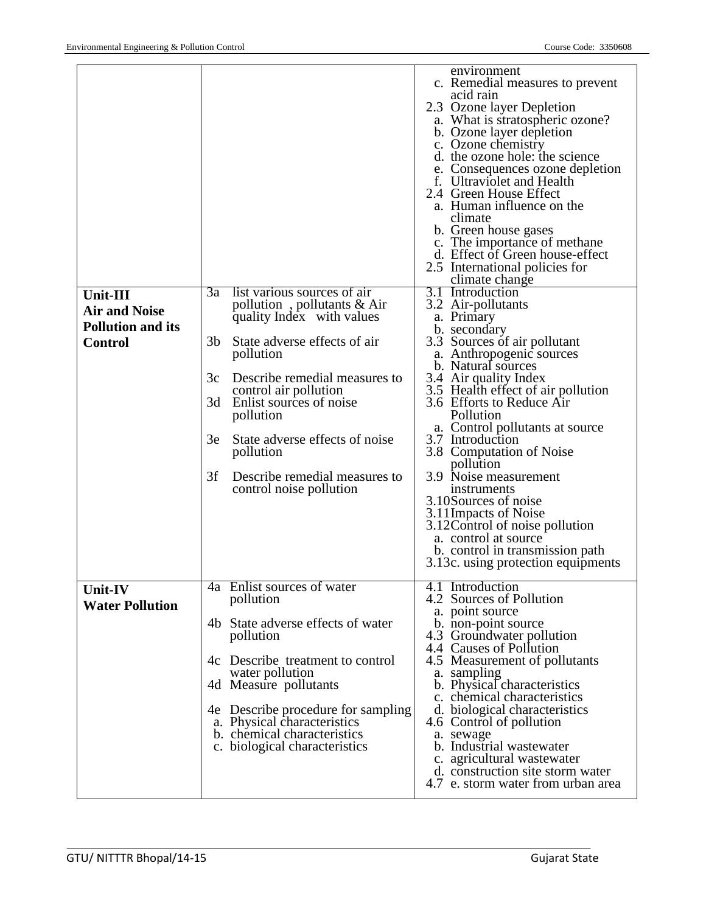|                                                                                       |                                                                                                                                                                                                                                                                                                                                                                                         | environment<br>c. Remedial measures to prevent<br>acid rain<br>2.3 Ozone layer Depletion<br>a. What is stratospheric ozone?<br>b. Ozone layer depletion<br>c. Ozone chemistry<br>d. the ozone hole: the science<br>e. Consequences ozone depletion<br>f. Ultraviolet and Health<br>2.4 Green House Effect<br>a. Human influence on the<br>climate<br>b. Green house gases<br>c. The importance of methane<br>d. Effect of Green house-effect<br>2.5 International policies for<br>climate change                                                                                            |
|---------------------------------------------------------------------------------------|-----------------------------------------------------------------------------------------------------------------------------------------------------------------------------------------------------------------------------------------------------------------------------------------------------------------------------------------------------------------------------------------|---------------------------------------------------------------------------------------------------------------------------------------------------------------------------------------------------------------------------------------------------------------------------------------------------------------------------------------------------------------------------------------------------------------------------------------------------------------------------------------------------------------------------------------------------------------------------------------------|
| <b>Unit-III</b><br><b>Air and Noise</b><br><b>Pollution and its</b><br><b>Control</b> | 3a<br>list various sources of air<br>pollution, pollutants $& Air$<br>quality Index with values<br>3b<br>State adverse effects of air<br>pollution<br>3c<br>Describe remedial measures to<br>control air pollution<br>3d<br>Enlist sources of noise<br>pollution<br>State adverse effects of noise<br>3e<br>pollution<br>3f<br>Describe remedial measures to<br>control noise pollution | 3.1 Introduction<br>3.2 Air-pollutants<br>a. Primary<br>b. secondary<br>3.3 Sources of air pollutant<br>a. Anthropogenic sources<br>b. Natural sources<br>3.4 Air quality Index<br>3.5 Health effect of air pollution<br>3.6 Efforts to Reduce Air<br>Pollution<br>a. Control pollutants at source<br>3.7 Introduction<br>3.8 Computation of Noise<br>pollution<br>3.9 Noise measurement<br>instruments<br>3.10Sources of noise<br>3.11Impacts of Noise<br>3.12 Control of noise pollution<br>a. control at source<br>b. control in transmission path<br>3.13c. using protection equipments |
| <b>Unit-IV</b><br><b>Water Pollution</b>                                              | 4a Enlist sources of water<br>pollution<br>4b State adverse effects of water<br>pollution<br>4c Describe treatment to control<br>water pollution<br>4d Measure pollutants<br>4e Describe procedure for sampling<br>a. Physical characteristics<br>b. chemical characteristics<br>c. biological characteristics                                                                          | 4.1 Introduction<br>4.2 Sources of Pollution<br>a. point source<br>b. non-point source<br>4.3 Groundwater pollution<br>4.4 Causes of Pollution<br>4.5 Measurement of pollutants<br>a. sampling<br>b. Physical characteristics<br>c. chemical characteristics<br>d. biological characteristics<br>4.6 Control of pollution<br>a. sewage<br>b. Industrial wastewater<br>c. agricultural wastewater<br>d. construction site storm water<br>4.7 e. storm water from urban area                                                                                                                  |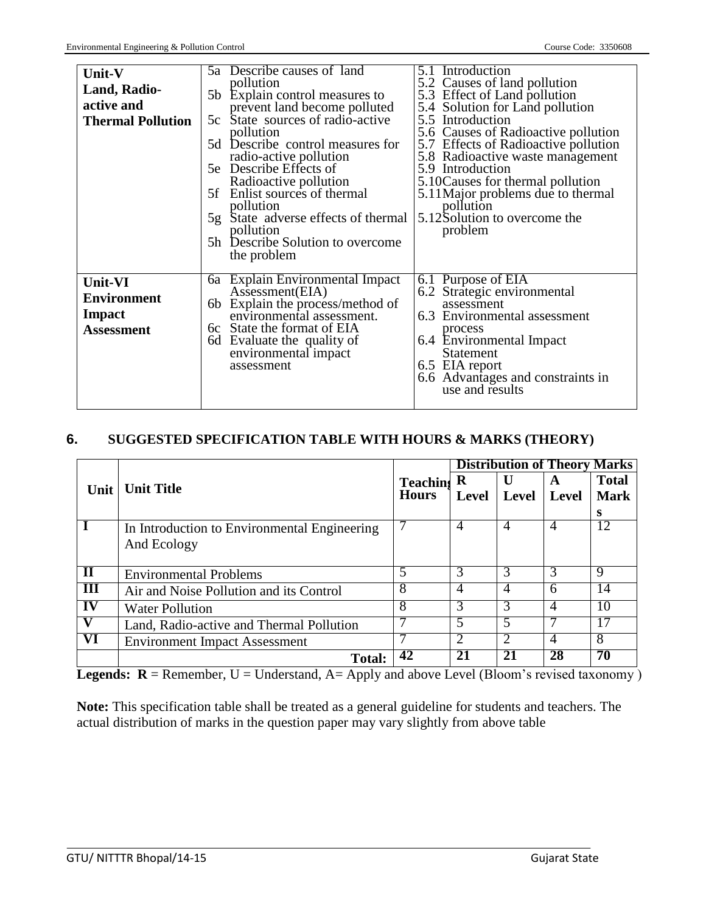| Unit-V<br><b>Land, Radio-</b><br>active and<br><b>Thermal Pollution</b> | 5a Describe causes of land<br>5.1 Introduction<br>5.2 Causes of land pollution<br>pollution<br>5b Explain control measures to<br>5.3 Effect of Land pollution<br>prevent land become polluted<br>5.4 Solution for Land pollution<br>State sources of radio-active<br>5.5 Introduction<br>5c<br>5.6 Causes of Radioactive pollution<br>pollution<br>5.7 Effects of Radioactive pollution<br>5d Describe control measures for<br>radio-active pollution<br>5.8 Radioactive waste management<br>5e Describe Effects of<br>5.9 Introduction<br>Radioactive pollution<br>5.10 Causes for thermal pollution<br>Enlist sources of thermal<br>5.11 Major problems due to thermal<br>5f<br>pollution<br>pollution |
|-------------------------------------------------------------------------|----------------------------------------------------------------------------------------------------------------------------------------------------------------------------------------------------------------------------------------------------------------------------------------------------------------------------------------------------------------------------------------------------------------------------------------------------------------------------------------------------------------------------------------------------------------------------------------------------------------------------------------------------------------------------------------------------------|
|                                                                         | 5.12S olution to overcome the<br>5g State adverse effects of thermal<br>pollution<br>problem<br>5h Describe Solution to overcome<br>the problem                                                                                                                                                                                                                                                                                                                                                                                                                                                                                                                                                          |
| Unit-VI<br><b>Environment</b><br><b>Impact</b><br><b>Assessment</b>     | 6a Explain Environmental Impact<br>6.1 Purpose of EIA<br>Assessment(EIA)<br>6.2 Strategic environmental<br>Explain the process/method of<br>assessment<br>6b<br>environmental assessment.<br>6.3 Environmental assessment<br>6c State the format of EIA<br>process<br>Evaluate the quality of<br>6.4 Environmental Impact<br>6d<br>environmental impact<br><b>Statement</b><br>6.5 EIA report<br>assessment<br>6.6 Advantages and constraints in<br>use and results                                                                                                                                                                                                                                      |

## **6. SUGGESTED SPECIFICATION TABLE WITH HOURS & MARKS (THEORY)**

|                         |                                              |                 |              | <b>Distribution of Theory Marks</b> |                |              |
|-------------------------|----------------------------------------------|-----------------|--------------|-------------------------------------|----------------|--------------|
| Unit                    | <b>Unit Title</b>                            | <b>Teaching</b> | R            | U                                   | A              | <b>Total</b> |
|                         |                                              | <b>Hours</b>    | <b>Level</b> | Level                               | Level          | <b>Mark</b>  |
|                         |                                              |                 |              |                                     |                | s            |
|                         | In Introduction to Environmental Engineering |                 |              | 4                                   |                | 12           |
|                         | And Ecology                                  |                 |              |                                     |                |              |
|                         |                                              |                 |              |                                     |                |              |
| $\mathbf{I}$            | <b>Environmental Problems</b>                | 5               |              | 3                                   | 3              | 9            |
| Ш                       | Air and Noise Pollution and its Control      | 8               |              | 4                                   | 6              | 14           |
| IV                      | <b>Water Pollution</b>                       | 8               |              | 3                                   | $\overline{A}$ | 10           |
|                         | Land, Radio-active and Thermal Pollution     |                 |              |                                     |                |              |
| $\overline{\mathbf{V}}$ | <b>Environment Impact Assessment</b>         |                 |              | $\mathcal{D}_{\mathcal{L}}$         | 4              | 8            |
|                         | <b>Total:</b>                                | 42              |              |                                     | 28             | 70           |

**Legends: R** = Remember, U = Understand, A= Apply and above Level (Bloom's revised taxonomy)

**Note:** This specification table shall be treated as a general guideline for students and teachers. The actual distribution of marks in the question paper may vary slightly from above table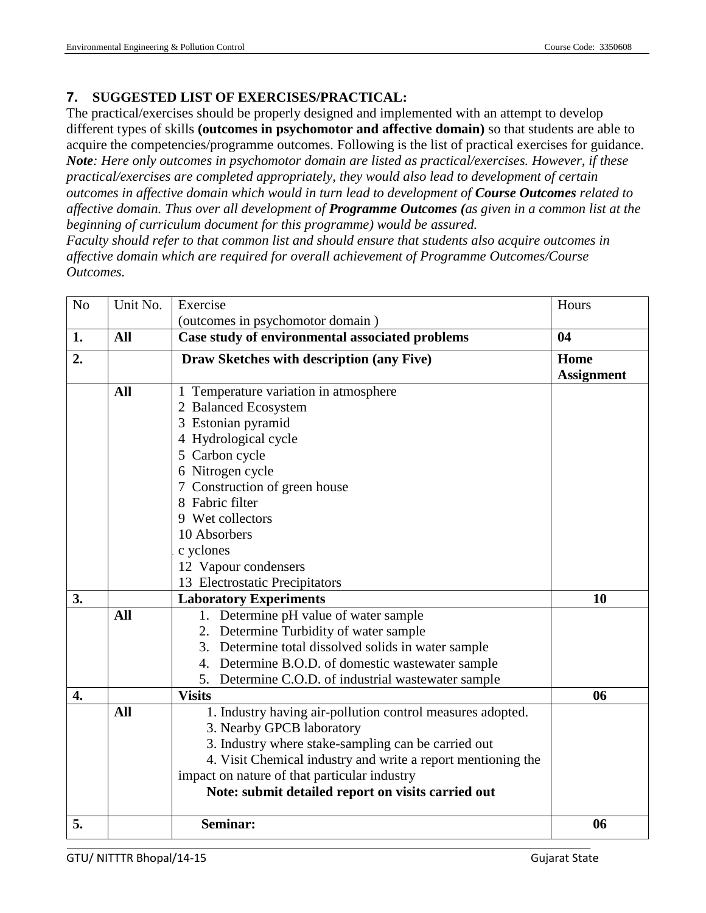## **7. SUGGESTED LIST OF EXERCISES/PRACTICAL:**

The practical/exercises should be properly designed and implemented with an attempt to develop different types of skills **(outcomes in psychomotor and affective domain)** so that students are able to acquire the competencies/programme outcomes. Following is the list of practical exercises for guidance. *Note: Here only outcomes in psychomotor domain are listed as practical/exercises. However, if these practical/exercises are completed appropriately, they would also lead to development of certain outcomes in affective domain which would in turn lead to development of Course Outcomes related to affective domain. Thus over all development of Programme Outcomes (as given in a common list at the beginning of curriculum document for this programme) would be assured.* 

*Faculty should refer to that common list and should ensure that students also acquire outcomes in affective domain which are required for overall achievement of Programme Outcomes/Course Outcomes.*

| No | Unit No.   | Exercise                                                     | Hours             |
|----|------------|--------------------------------------------------------------|-------------------|
|    |            | (outcomes in psychomotor domain)                             |                   |
| 1. | <b>All</b> | Case study of environmental associated problems              | 04                |
| 2. |            | Draw Sketches with description (any Five)                    | Home              |
|    |            |                                                              | <b>Assignment</b> |
|    | <b>All</b> | 1 Temperature variation in atmosphere                        |                   |
|    |            | 2 Balanced Ecosystem                                         |                   |
|    |            | 3 Estonian pyramid                                           |                   |
|    |            | 4 Hydrological cycle                                         |                   |
|    |            | 5 Carbon cycle                                               |                   |
|    |            | 6 Nitrogen cycle                                             |                   |
|    |            | 7 Construction of green house                                |                   |
|    |            | 8 Fabric filter                                              |                   |
|    |            | 9 Wet collectors                                             |                   |
|    |            | 10 Absorbers                                                 |                   |
|    |            | c yclones                                                    |                   |
|    |            | 12 Vapour condensers                                         |                   |
|    |            | 13 Electrostatic Precipitators                               |                   |
| 3. |            | <b>Laboratory Experiments</b>                                | 10                |
|    | All        | 1. Determine pH value of water sample                        |                   |
|    |            | 2. Determine Turbidity of water sample                       |                   |
|    |            | 3. Determine total dissolved solids in water sample          |                   |
|    |            | 4. Determine B.O.D. of domestic wastewater sample            |                   |
|    |            | 5. Determine C.O.D. of industrial wastewater sample          |                   |
| 4. |            | <b>Visits</b>                                                | 06                |
|    | All        | 1. Industry having air-pollution control measures adopted.   |                   |
|    |            | 3. Nearby GPCB laboratory                                    |                   |
|    |            | 3. Industry where stake-sampling can be carried out          |                   |
|    |            | 4. Visit Chemical industry and write a report mentioning the |                   |
|    |            | impact on nature of that particular industry                 |                   |
|    |            | Note: submit detailed report on visits carried out           |                   |
| 5. |            | Seminar:                                                     | 06                |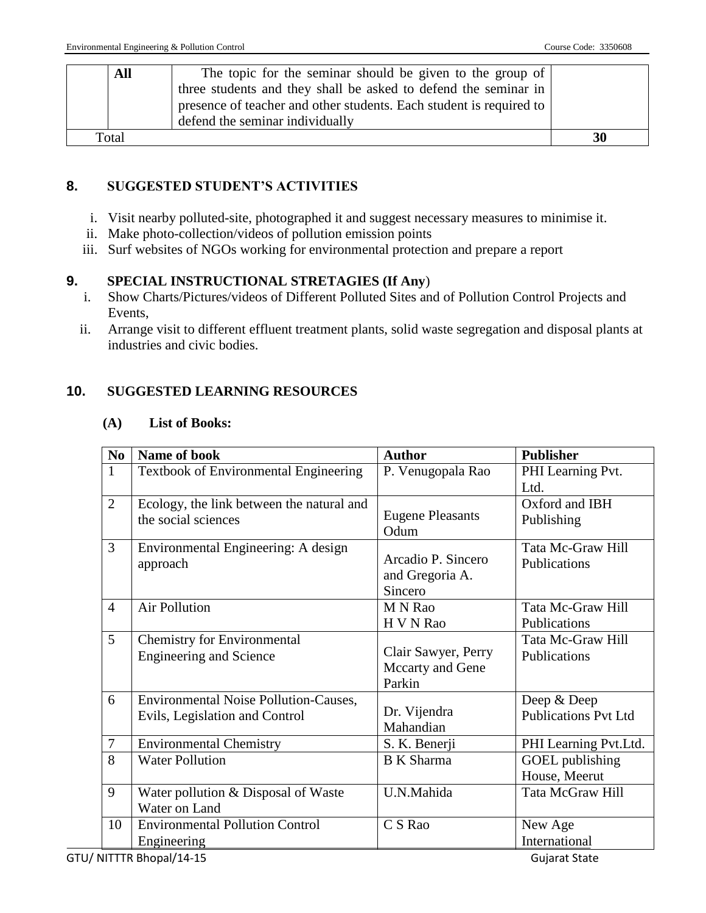| All   | The topic for the seminar should be given to the group of           |    |
|-------|---------------------------------------------------------------------|----|
|       | three students and they shall be asked to defend the seminar in     |    |
|       | presence of teacher and other students. Each student is required to |    |
|       | defend the seminar individually                                     |    |
| Total |                                                                     | 30 |

## **8. SUGGESTED STUDENT'S ACTIVITIES**

- i. Visit nearby polluted-site, photographed it and suggest necessary measures to minimise it.
- ii. Make photo-collection/videos of pollution emission points
- iii. Surf websites of NGOs working for environmental protection and prepare a report

## **9. SPECIAL INSTRUCTIONAL STRETAGIES (If Any**)

- i. Show Charts/Pictures/videos of Different Polluted Sites and of Pollution Control Projects and Events,
- ii. Arrange visit to different effluent treatment plants, solid waste segregation and disposal plants at industries and civic bodies.

## **10. SUGGESTED LEARNING RESOURCES**

### **(A) List of Books:**

| N <sub>0</sub> | Name of book                                 | <b>Author</b>           | <b>Publisher</b>                           |
|----------------|----------------------------------------------|-------------------------|--------------------------------------------|
| $\mathbf{1}$   | Textbook of Environmental Engineering        | P. Venugopala Rao       | PHI Learning Pvt.                          |
|                |                                              |                         | Ltd.                                       |
| $\overline{2}$ | Ecology, the link between the natural and    |                         | Oxford and IBH                             |
|                | the social sciences                          | <b>Eugene Pleasants</b> | Publishing                                 |
|                |                                              | Odum                    |                                            |
| 3              | Environmental Engineering: A design          | Arcadio P. Sincero      | Tata Mc-Graw Hill<br>Publications          |
|                | approach                                     | and Gregoria A.         |                                            |
|                |                                              | Sincero                 |                                            |
| $\overline{4}$ | <b>Air Pollution</b>                         | M N Rao                 | Tata Mc-Graw Hill                          |
|                |                                              | H V N Rao               | Publications                               |
| 5              | <b>Chemistry for Environmental</b>           |                         | Tata Mc-Graw Hill                          |
|                | <b>Engineering and Science</b>               | Clair Sawyer, Perry     | Publications                               |
|                |                                              | Mccarty and Gene        |                                            |
| 6              | <b>Environmental Noise Pollution-Causes,</b> | Parkin                  |                                            |
|                |                                              | Dr. Vijendra            | Deep & Deep<br><b>Publications Pvt Ltd</b> |
|                | Evils, Legislation and Control               | Mahandian               |                                            |
| $\overline{7}$ | <b>Environmental Chemistry</b>               | S. K. Benerji           | PHI Learning Pvt.Ltd.                      |
| 8              | <b>Water Pollution</b>                       | <b>B</b> K Sharma       | GOEL publishing                            |
|                |                                              |                         | House, Meerut                              |
| 9              | Water pollution & Disposal of Waste          | U.N.Mahida              | Tata McGraw Hill                           |
|                | Water on Land                                |                         |                                            |
| 10             | <b>Environmental Pollution Control</b>       | C S Rao                 | New Age                                    |
|                | Engineering                                  |                         | International                              |